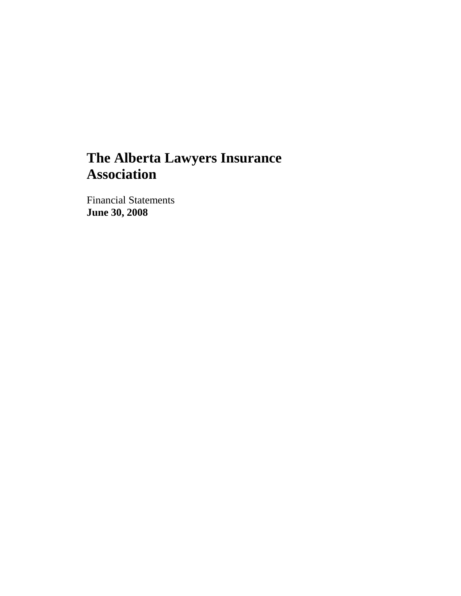# **The Alberta Lawyers Insurance Association**

Financial Statements **June 30, 2008**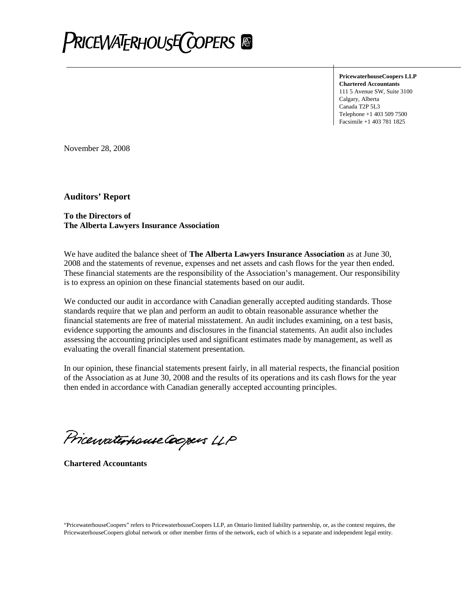

**PricewaterhouseCoopers LLP Chartered Accountants** 111 5 Avenue SW, Suite 3100 Calgary, Alberta Canada T2P 5L3 Telephone +1 403 509 7500 Facsimile +1 403 781 1825

November 28, 2008

**Auditors' Report**

#### **To the Directors of The Alberta Lawyers Insurance Association**

We have audited the balance sheet of **The Alberta Lawyers Insurance Association** as at June 30, 2008 and the statements of revenue, expenses and net assets and cash flows for the year then ended. These financial statements are the responsibility of the Association's management. Our responsibility is to express an opinion on these financial statements based on our audit.

We conducted our audit in accordance with Canadian generally accepted auditing standards. Those standards require that we plan and perform an audit to obtain reasonable assurance whether the financial statements are free of material misstatement. An audit includes examining, on a test basis, evidence supporting the amounts and disclosures in the financial statements. An audit also includes assessing the accounting principles used and significant estimates made by management, as well as evaluating the overall financial statement presentation.

In our opinion, these financial statements present fairly, in all material respects, the financial position of the Association as at June 30, 2008 and the results of its operations and its cash flows for the year then ended in accordance with Canadian generally accepted accounting principles.

Pricewaterhouse Coopers LLP

**Chartered Accountants**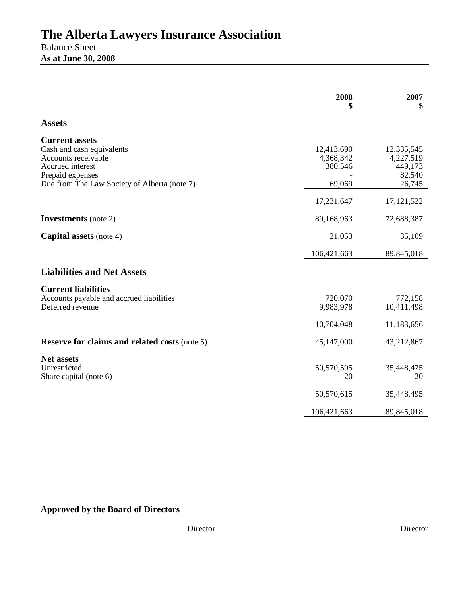## **The Alberta Lawyers Insurance Association** Balance Sheet **As at June 30, 2008**

|                                                                                                                                                                   | 2008<br>\$                                   | 2007<br>\$                                             |
|-------------------------------------------------------------------------------------------------------------------------------------------------------------------|----------------------------------------------|--------------------------------------------------------|
| <b>Assets</b>                                                                                                                                                     |                                              |                                                        |
| <b>Current assets</b><br>Cash and cash equivalents<br>Accounts receivable<br>Accrued interest<br>Prepaid expenses<br>Due from The Law Society of Alberta (note 7) | 12,413,690<br>4,368,342<br>380,546<br>69,069 | 12,335,545<br>4,227,519<br>449,173<br>82,540<br>26,745 |
|                                                                                                                                                                   | 17,231,647                                   | 17, 121, 522                                           |
| <b>Investments</b> (note 2)                                                                                                                                       | 89,168,963                                   | 72,688,387                                             |
| <b>Capital assets</b> (note 4)                                                                                                                                    | 21,053                                       | 35,109                                                 |
|                                                                                                                                                                   | 106,421,663                                  | 89,845,018                                             |
| <b>Liabilities and Net Assets</b>                                                                                                                                 |                                              |                                                        |
| <b>Current liabilities</b><br>Accounts payable and accrued liabilities<br>Deferred revenue                                                                        | 720,070<br>9,983,978<br>10,704,048           | 772,158<br>10,411,498<br>11,183,656                    |
| <b>Reserve for claims and related costs (note 5)</b>                                                                                                              | 45,147,000                                   | 43,212,867                                             |
| <b>Net assets</b><br>Unrestricted<br>Share capital (note 6)                                                                                                       | 50,570,595<br>20                             | 35,448,475<br>20                                       |
|                                                                                                                                                                   | 50,570,615                                   | 35,448,495                                             |
|                                                                                                                                                                   | 106,421,663                                  | 89,845,018                                             |

## **Approved by the Board of Directors**

\_\_\_\_\_\_\_\_\_\_\_\_\_\_\_\_\_\_\_\_\_\_\_\_\_\_\_\_\_\_\_\_\_\_\_ Director \_\_\_\_\_\_\_\_\_\_\_\_\_\_\_\_\_\_\_\_\_\_\_\_\_\_\_\_\_\_\_\_\_\_\_ Director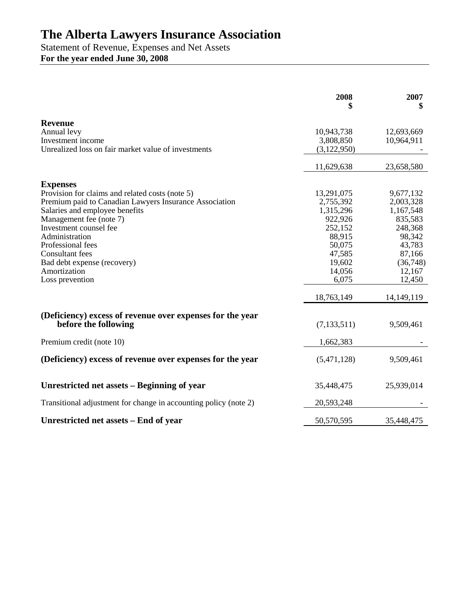## **The Alberta Lawyers Insurance Association**

Statement of Revenue, Expenses and Net Assets **For the year ended June 30, 2008**

|                                                                                                                                                                                                                                                                                                                                                        | 2008                                                                                                                                | 2007<br>\$                                                                                                                              |
|--------------------------------------------------------------------------------------------------------------------------------------------------------------------------------------------------------------------------------------------------------------------------------------------------------------------------------------------------------|-------------------------------------------------------------------------------------------------------------------------------------|-----------------------------------------------------------------------------------------------------------------------------------------|
| <b>Revenue</b><br>Annual levy<br>Investment income<br>Unrealized loss on fair market value of investments                                                                                                                                                                                                                                              | 10,943,738<br>3,808,850<br>(3,122,950)                                                                                              | 12,693,669<br>10,964,911                                                                                                                |
|                                                                                                                                                                                                                                                                                                                                                        | 11,629,638                                                                                                                          | 23,658,580                                                                                                                              |
| <b>Expenses</b><br>Provision for claims and related costs (note 5)<br>Premium paid to Canadian Lawyers Insurance Association<br>Salaries and employee benefits<br>Management fee (note 7)<br>Investment counsel fee<br>Administration<br>Professional fees<br><b>Consultant</b> fees<br>Bad debt expense (recovery)<br>Amortization<br>Loss prevention | 13,291,075<br>2,755,392<br>1,315,296<br>922,926<br>252,152<br>88,915<br>50,075<br>47,585<br>19,602<br>14,056<br>6,075<br>18,763,149 | 9,677,132<br>2,003,328<br>1,167,548<br>835,583<br>248,368<br>98,342<br>43,783<br>87,166<br>(36,748)<br>12,167<br>12,450<br>14, 149, 119 |
| (Deficiency) excess of revenue over expenses for the year<br>before the following                                                                                                                                                                                                                                                                      | (7, 133, 511)                                                                                                                       | 9,509,461                                                                                                                               |
| Premium credit (note 10)                                                                                                                                                                                                                                                                                                                               | 1,662,383                                                                                                                           |                                                                                                                                         |
| (Deficiency) excess of revenue over expenses for the year                                                                                                                                                                                                                                                                                              | (5,471,128)                                                                                                                         | 9,509,461                                                                                                                               |
| Unrestricted net assets – Beginning of year                                                                                                                                                                                                                                                                                                            | 35,448,475                                                                                                                          | 25,939,014                                                                                                                              |
| Transitional adjustment for change in accounting policy (note 2)                                                                                                                                                                                                                                                                                       | 20,593,248                                                                                                                          |                                                                                                                                         |
| Unrestricted net assets – End of year                                                                                                                                                                                                                                                                                                                  | 50,570,595                                                                                                                          | 35,448,475                                                                                                                              |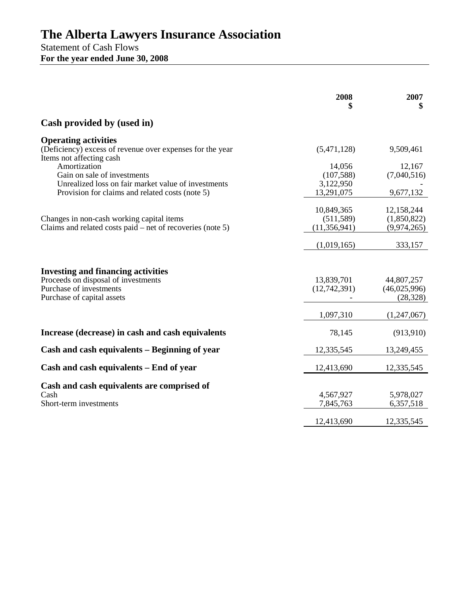## **The Alberta Lawyers Insurance Association**

Statement of Cash Flows **For the year ended June 30, 2008**

|                                                                                                                                           | 2008                                       | 2007<br>\$                               |
|-------------------------------------------------------------------------------------------------------------------------------------------|--------------------------------------------|------------------------------------------|
| Cash provided by (used in)                                                                                                                |                                            |                                          |
| <b>Operating activities</b><br>(Deficiency) excess of revenue over expenses for the year<br>Items not affecting cash                      | (5,471,128)                                | 9,509,461                                |
| Amortization<br>Gain on sale of investments<br>Unrealized loss on fair market value of investments                                        | 14,056<br>(107,588)<br>3,122,950           | 12,167<br>(7,040,516)                    |
| Provision for claims and related costs (note 5)                                                                                           | 13,291,075                                 | 9,677,132                                |
| Changes in non-cash working capital items<br>Claims and related costs paid – net of recoveries (note 5)                                   | 10,849,365<br>(511, 589)<br>(11, 356, 941) | 12,158,244<br>(1,850,822)<br>(9,974,265) |
|                                                                                                                                           | (1,019,165)                                | 333,157                                  |
| <b>Investing and financing activities</b><br>Proceeds on disposal of investments<br>Purchase of investments<br>Purchase of capital assets | 13,839,701<br>(12,742,391)                 | 44,807,257<br>(46,025,996)<br>(28, 328)  |
|                                                                                                                                           | 1,097,310                                  | (1,247,067)                              |
| Increase (decrease) in cash and cash equivalents                                                                                          | 78,145                                     | (913, 910)                               |
| Cash and cash equivalents – Beginning of year                                                                                             | 12,335,545                                 | 13,249,455                               |
| Cash and cash equivalents – End of year                                                                                                   | 12,413,690                                 | 12,335,545                               |
| Cash and cash equivalents are comprised of<br>Cash<br>Short-term investments                                                              | 4,567,927<br>7,845,763                     | 5,978,027<br>6,357,518                   |
|                                                                                                                                           | 12,413,690                                 | 12,335,545                               |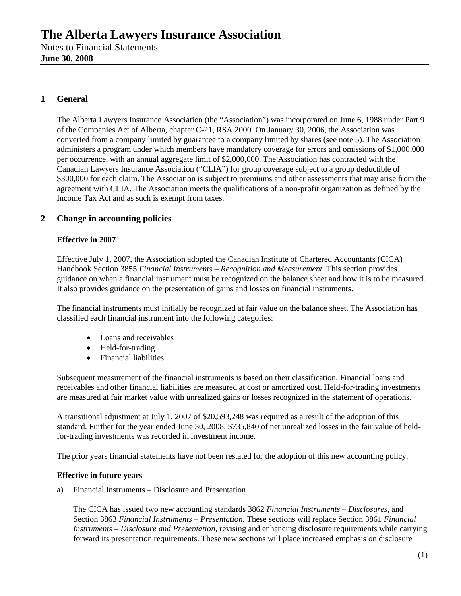## **1 General**

The Alberta Lawyers Insurance Association (the "Association") was incorporated on June 6, 1988 under Part 9 of the Companies Act of Alberta, chapter C-21, RSA 2000. On January 30, 2006, the Association was converted from a company limited by guarantee to a company limited by shares (see note 5). The Association administers a program under which members have mandatory coverage for errors and omissions of \$1,000,000 per occurrence, with an annual aggregate limit of \$2,000,000. The Association has contracted with the Canadian Lawyers Insurance Association ("CLIA") for group coverage subject to a group deductible of \$300,000 for each claim. The Association is subject to premiums and other assessments that may arise from the agreement with CLIA. The Association meets the qualifications of a non-profit organization as defined by the Income Tax Act and as such is exempt from taxes.

## **2 Change in accounting policies**

#### **Effective in 2007**

Effective July 1, 2007, the Association adopted the Canadian Institute of Chartered Accountants (CICA) Handbook Section 3855 *Financial Instruments – Recognition and Measurement.* This section provides guidance on when a financial instrument must be recognized on the balance sheet and how it is to be measured. It also provides guidance on the presentation of gains and losses on financial instruments.

The financial instruments must initially be recognized at fair value on the balance sheet. The Association has classified each financial instrument into the following categories:

- Loans and receivables
- Held-for-trading
- Financial liabilities

Subsequent measurement of the financial instruments is based on their classification. Financial loans and receivables and other financial liabilities are measured at cost or amortized cost. Held-for-trading investments are measured at fair market value with unrealized gains or losses recognized in the statement of operations.

A transitional adjustment at July 1, 2007 of \$20,593,248 was required as a result of the adoption of this standard. Further for the year ended June 30, 2008, \$735,840 of net unrealized losses in the fair value of heldfor-trading investments was recorded in investment income.

The prior years financial statements have not been restated for the adoption of this new accounting policy.

#### **Effective in future years**

a) Financial Instruments – Disclosure and Presentation

The CICA has issued two new accounting standards 3862 *Financial Instruments – Disclosures,* and Section 3863 *Financial Instruments – Presentation.* These sections will replace Section 3861 *Financial Instruments – Disclosure and Presentation,* revising and enhancing disclosure requirements while carrying forward its presentation requirements. These new sections will place increased emphasis on disclosure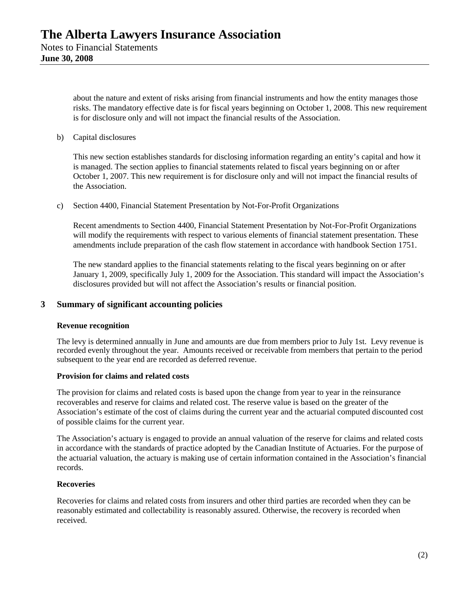about the nature and extent of risks arising from financial instruments and how the entity manages those risks. The mandatory effective date is for fiscal years beginning on October 1, 2008. This new requirement is for disclosure only and will not impact the financial results of the Association.

b) Capital disclosures

This new section establishes standards for disclosing information regarding an entity's capital and how it is managed. The section applies to financial statements related to fiscal years beginning on or after October 1, 2007. This new requirement is for disclosure only and will not impact the financial results of the Association.

c) Section 4400, Financial Statement Presentation by Not-For-Profit Organizations

Recent amendments to Section 4400, Financial Statement Presentation by Not-For-Profit Organizations will modify the requirements with respect to various elements of financial statement presentation. These amendments include preparation of the cash flow statement in accordance with handbook Section 1751.

The new standard applies to the financial statements relating to the fiscal years beginning on or after January 1, 2009, specifically July 1, 2009 for the Association. This standard will impact the Association's disclosures provided but will not affect the Association's results or financial position.

#### **3 Summary of significant accounting policies**

#### **Revenue recognition**

The levy is determined annually in June and amounts are due from members prior to July 1st. Levy revenue is recorded evenly throughout the year. Amounts received or receivable from members that pertain to the period subsequent to the year end are recorded as deferred revenue.

#### **Provision for claims and related costs**

The provision for claims and related costs is based upon the change from year to year in the reinsurance recoverables and reserve for claims and related cost. The reserve value is based on the greater of the Association's estimate of the cost of claims during the current year and the actuarial computed discounted cost of possible claims for the current year.

The Association's actuary is engaged to provide an annual valuation of the reserve for claims and related costs in accordance with the standards of practice adopted by the Canadian Institute of Actuaries. For the purpose of the actuarial valuation, the actuary is making use of certain information contained in the Association's financial records.

#### **Recoveries**

Recoveries for claims and related costs from insurers and other third parties are recorded when they can be reasonably estimated and collectability is reasonably assured. Otherwise, the recovery is recorded when received.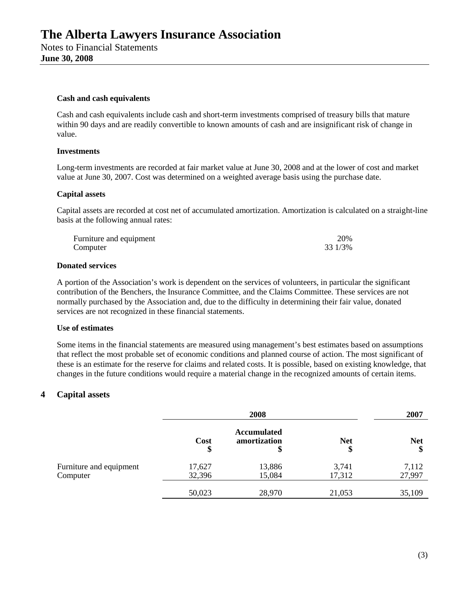#### **Cash and cash equivalents**

Cash and cash equivalents include cash and short-term investments comprised of treasury bills that mature within 90 days and are readily convertible to known amounts of cash and are insignificant risk of change in value.

#### **Investments**

Long-term investments are recorded at fair market value at June 30, 2008 and at the lower of cost and market value at June 30, 2007. Cost was determined on a weighted average basis using the purchase date.

#### **Capital assets**

Capital assets are recorded at cost net of accumulated amortization. Amortization is calculated on a straight-line basis at the following annual rates:

| Furniture and equipment | 20%     |
|-------------------------|---------|
| Computer                | 33 1/3% |

#### **Donated services**

A portion of the Association's work is dependent on the services of volunteers, in particular the significant contribution of the Benchers, the Insurance Committee, and the Claims Committee. These services are not normally purchased by the Association and, due to the difficulty in determining their fair value, donated services are not recognized in these financial statements.

#### **Use of estimates**

Some items in the financial statements are measured using management's best estimates based on assumptions that reflect the most probable set of economic conditions and planned course of action. The most significant of these is an estimate for the reserve for claims and related costs. It is possible, based on existing knowledge, that changes in the future conditions would require a material change in the recognized amounts of certain items.

#### **4 Capital assets**

|                                     | 2008             |                                          |                  |                  |  | 2007 |  |
|-------------------------------------|------------------|------------------------------------------|------------------|------------------|--|------|--|
|                                     | Cost<br>\$       | <b>Accumulated</b><br>amortization<br>\$ | <b>Net</b><br>\$ | <b>Net</b><br>\$ |  |      |  |
| Furniture and equipment<br>Computer | 17,627<br>32,396 | 13,886<br>15,084                         | 3,741<br>17,312  | 7,112<br>27,997  |  |      |  |
|                                     | 50,023           | 28,970                                   | 21,053           | 35,109           |  |      |  |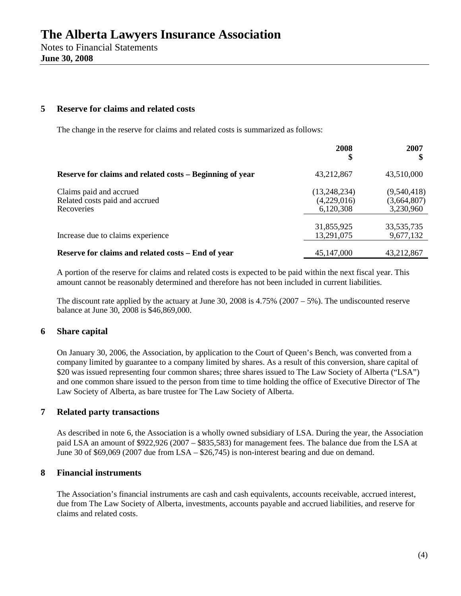#### **5 Reserve for claims and related costs**

The change in the reserve for claims and related costs is summarized as follows:

|                                                                         | 2008                                       | 2007                                    |
|-------------------------------------------------------------------------|--------------------------------------------|-----------------------------------------|
| Reserve for claims and related costs – Beginning of year                | 43,212,867                                 | 43,510,000                              |
| Claims paid and accrued<br>Related costs paid and accrued<br>Recoveries | (13, 248, 234)<br>(4,229,016)<br>6,120,308 | (9,540,418)<br>(3,664,807)<br>3,230,960 |
| Increase due to claims experience                                       | 31,855,925<br>13,291,075                   | 33,535,735<br>9,677,132                 |
| Reserve for claims and related costs - End of year                      | 45,147,000                                 | 43,212,867                              |

A portion of the reserve for claims and related costs is expected to be paid within the next fiscal year. This amount cannot be reasonably determined and therefore has not been included in current liabilities.

The discount rate applied by the actuary at June 30, 2008 is 4.75% (2007 – 5%). The undiscounted reserve balance at June 30, 2008 is \$46,869,000.

## **6 Share capital**

On January 30, 2006, the Association, by application to the Court of Queen's Bench, was converted from a company limited by guarantee to a company limited by shares. As a result of this conversion, share capital of \$20 was issued representing four common shares; three shares issued to The Law Society of Alberta ("LSA") and one common share issued to the person from time to time holding the office of Executive Director of The Law Society of Alberta, as bare trustee for The Law Society of Alberta.

## **7 Related party transactions**

As described in note 6, the Association is a wholly owned subsidiary of LSA. During the year, the Association paid LSA an amount of \$922,926 (2007 – \$835,583) for management fees. The balance due from the LSA at June 30 of \$69,069 (2007 due from LSA – \$26,745) is non-interest bearing and due on demand.

#### **8 Financial instruments**

The Association's financial instruments are cash and cash equivalents, accounts receivable, accrued interest, due from The Law Society of Alberta, investments, accounts payable and accrued liabilities, and reserve for claims and related costs.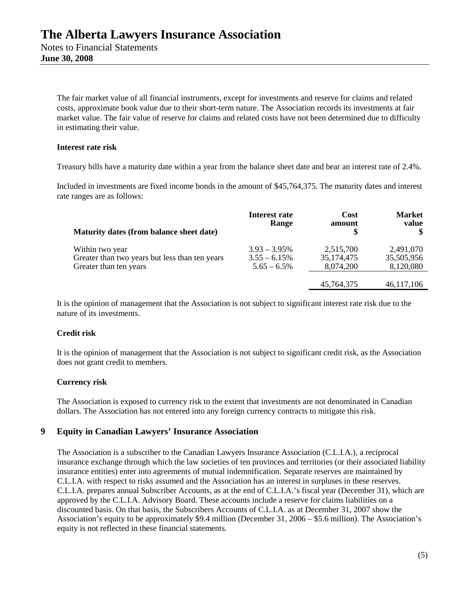The fair market value of all financial instruments, except for investments and reserve for claims and related costs, approximate book value due to their short-term nature. The Association records its investments at fair market value. The fair value of reserve for claims and related costs have not been determined due to difficulty in estimating their value.

#### **Interest rate risk**

Treasury bills have a maturity date within a year from the balance sheet date and bear an interest rate of 2.4%.

Included in investments are fixed income bonds in the amount of \$45,764,375. The maturity dates and interest rate ranges are as follows:

| Maturity dates (from balance sheet date)                                                    | Interest rate<br>Range                              | Cost<br>amount<br>\$                   | <b>Market</b><br>value               |
|---------------------------------------------------------------------------------------------|-----------------------------------------------------|----------------------------------------|--------------------------------------|
| Within two year<br>Greater than two years but less than ten years<br>Greater than ten years | $3.93 - 3.95\%$<br>$3.55 - 6.15%$<br>$5.65 - 6.5\%$ | 2,515,700<br>35, 174, 475<br>8,074,200 | 2,491,070<br>35,505,956<br>8,120,080 |
|                                                                                             |                                                     | 45,764,375                             | 46,117,106                           |

It is the opinion of management that the Association is not subject to significant interest rate risk due to the nature of its investments.

#### **Credit risk**

It is the opinion of management that the Association is not subject to significant credit risk, as the Association does not grant credit to members.

#### **Currency risk**

The Association is exposed to currency risk to the extent that investments are not denominated in Canadian dollars. The Association has not entered into any foreign currency contracts to mitigate this risk.

## **9 Equity in Canadian Lawyers' Insurance Association**

The Association is a subscriber to the Canadian Lawyers Insurance Association (C.L.I.A.), a reciprocal insurance exchange through which the law societies of ten provinces and territories (or their associated liability insurance entities) enter into agreements of mutual indemnification. Separate reserves are maintained by C.L.I.A. with respect to risks assumed and the Association has an interest in surpluses in these reserves. C.L.I.A. prepares annual Subscriber Accounts, as at the end of C.L.I.A.'s fiscal year (December 31), which are approved by the C.L.I.A. Advisory Board. These accounts include a reserve for claims liabilities on a discounted basis. On that basis, the Subscribers Accounts of C.L.I.A. as at December 31, 2007 show the Association's equity to be approximately \$9.4 million (December 31, 2006 – \$5.6 million). The Association's equity is not reflected in these financial statements.